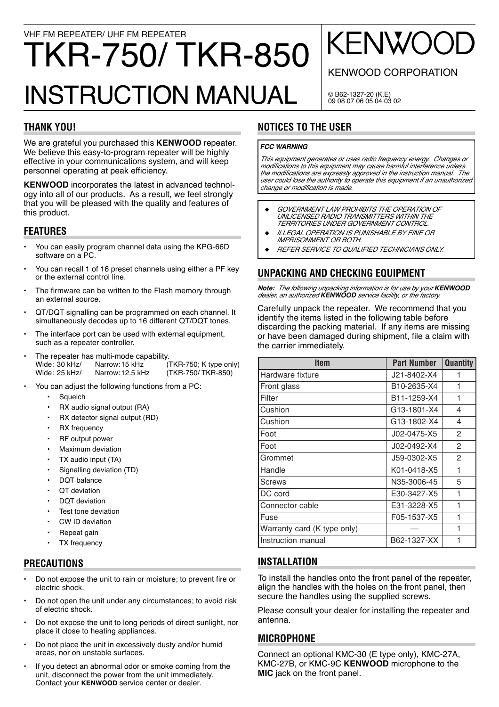# VHF FM REPEATER/ UHF FM REPEATER TKR-750/TKR-850 **INSTRUCTION MANUAL**

# **THANK YOU!**

We are grateful you purchased this KENWOOD repeater. We believe this easy-to-program repeater will be highly effective in your communications system, and will keep personnel operating at peak efficiency.

**KENWOOD** incorporates the latest in advanced technology into all of our products. As a result, we feel strongly that you will be pleased with the quality and features of this product.

# **FEATURES**

- You can easily program channel data using the KPG-66D software on a PC.
- You can recall 1 of 16 preset channels using either a PF key or the external control line.
- The firmware can be written to the Flash memory through an external source.
- QT/DQT signalling can be programmed on each channel. It  $\bullet$ simultaneously decodes up to 16 different QT/DQT tones.
- The interface port can be used with external equipment,  $\ddot{\phantom{0}}$ such as a repeater controller.
- The repeater has multi-mode capability. Wide: 30 kHz/ Narrow: 15 kHz (TKR-750; K type only) Wide: 25 kHz/ Narrow: 12.5 kHz (TKR-750/TKR-850)
- You can adjust the following functions from a PC:
	- Squelch  $\bullet$
	- RX audio signal output (RA)  $\ddot{\phantom{a}}$
	- RX detector signal output (RD)
	- **RX** frequency
	- RF output power
	- Maximum deviation
	- $\ddot{\phantom{a}}$ TX audio input (TA)
	- Signalling deviation (TD)  $\bullet$
	- DQT balance
	- OT deviation
	- DOT deviation
	- Test tone deviation
	- CW ID deviation
	- Repeat gain
	- **TX** frequency

#### **PRECAUTIONS**

- Do not expose the unit to rain or moisture; to prevent fire or electric shock
- Do not open the unit under any circumstances; to avoid risk of electric shock.
- Do not expose the unit to long periods of direct sunlight, nor place it close to heating appliances.
- Do not place the unit in excessively dusty and/or humid  $\bullet$ areas. nor on unstable surfaces.
- If you detect an abnormal odor or smoke coming from the unit, disconnect the power from the unit immediately. Contact your KENWOOD service center or dealer.

#### © B62-1327-20 (K,E) 09 08 07 06 05 04 03 02

# **NOTICES TO THE USER**

#### **FCC WARNING**

This equipment generates or uses radio frequency energy. Changes or modifications to this equipment may cause harmful interference unless the modifications are expressly approved in the instruction manual. The user could lose the authority to operate this equipment if an unauthorized change or modification is made.

- GOVERNMENT LAW PROHIBITS THE OPERATION OF UNLICENSED RADIO TRANSMITTERS WITHIN THE TERRITORIES UNDER GOVERNMENT CONTROL.
- ILLEGAL OPERATION IS PUNISHABLE BY FINE OR **IMPRISONMENT OR BOTH.**
- **REFER SERVICE TO QUALIFIED TECHNICIANS ONLY.**

#### UNPACKING AND CHECKING EQUIPMENT

Note: The following unpacking information is for use by your KENWOOD<br>dealer, an authorized KENWOOD service facility, or the factory.

Carefully unpack the repeater. We recommend that you identify the items listed in the following table before discarding the packing material. If any items are missing or have been damaged during shipment, file a claim with the carrier immediately.

| Item                        | <b>Part Number</b> | <b>Quantity</b> |
|-----------------------------|--------------------|-----------------|
| Hardware fixture            | J21-8402-X4        | 1               |
| Front glass                 | B10-2635-X4        | 1               |
| l Filter                    | B11-1259-X4        | 1               |
| l Cushion                   | G13-1801-X4        | 4               |
| l Cushion                   | G13-1802-X4        | 4               |
| Foot                        | J02-0475-X5        | 2               |
| Foot                        | J02-0492-X4        | $\mathcal{P}$   |
| l Grommet                   | J59-0302-X5        | 2               |
| l Handle                    | K01-0418-X5        | 1               |
| <b>Screws</b>               | N35-3006-45        | 5               |
| <b>IDC</b> cord             | E30-3427-X5        | 1               |
| Connector cable             | E31-3228-X5        | 1               |
| l Fuse                      | F05-1537-X5        | 1               |
| Warranty card (K type only) |                    | 1               |
| Instruction manual          | B62-1327-XX        |                 |

#### **INSTALLATION**

To install the handles onto the front panel of the repeater, align the handles with the holes on the front panel, then secure the handles using the supplied screws.

Please consult your dealer for installing the repeater and antenna.

#### **MICROPHONE**

Connect an optional KMC-30 (E type only), KMC-27A, KMC-27B, or KMC-9C KENWOOD microphone to the MIC jack on the front panel.

# **KENWO**

**KENWOOD CORPORATION**